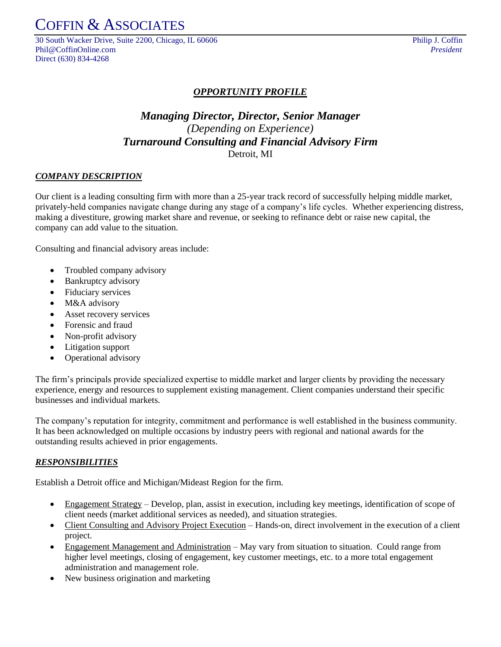COFFIN & ASSOCIATES

30 South Wacker Drive, Suite 2200, Chicago, IL 60606 Philip J. Coffin Phil@CoffinOnline.com *President* Direct (630) 834-4268

### *OPPORTUNITY PROFILE*

## *Managing Director, Director, Senior Manager (Depending on Experience) Turnaround Consulting and Financial Advisory Firm* Detroit, MI

#### *COMPANY DESCRIPTION*

Our client is a leading consulting firm with more than a 25-year track record of successfully helping middle market, privately-held companies navigate change during any stage of a company's life cycles. Whether experiencing distress, making a divestiture, growing market share and revenue, or seeking to refinance debt or raise new capital, the company can add value to the situation.

Consulting and financial advisory areas include:

- Troubled company advisory
- Bankruptcy advisory
- Fiduciary services
- M&A advisory
- Asset recovery services
- Forensic and fraud
- Non-profit advisory
- Litigation support
- Operational advisory

The firm's principals provide specialized expertise to middle market and larger clients by providing the necessary experience, energy and resources to supplement existing management. Client companies understand their specific businesses and individual markets.

The company's reputation for integrity, commitment and performance is well established in the business community. It has been acknowledged on multiple occasions by industry peers with regional and national awards for the outstanding results achieved in prior engagements.

#### *RESPONSIBILITIES*

Establish a Detroit office and Michigan/Mideast Region for the firm.

- Engagement Strategy Develop, plan, assist in execution, including key meetings, identification of scope of client needs (market additional services as needed), and situation strategies.
- Client Consulting and Advisory Project Execution Hands-on, direct involvement in the execution of a client project.
- Engagement Management and Administration May vary from situation to situation. Could range from higher level meetings, closing of engagement, key customer meetings, etc. to a more total engagement administration and management role.
- New business origination and marketing